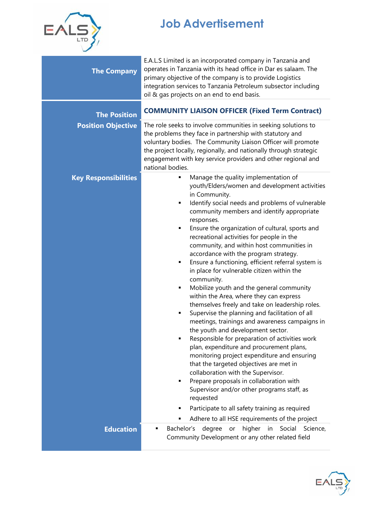

## **Job Advertisement**

| <b>The Company</b>          | E.A.L.S Limited is an incorporated company in Tanzania and<br>operates in Tanzania with its head office in Dar es salaam. The<br>primary objective of the company is to provide Logistics<br>integration services to Tanzania Petroleum subsector including<br>oil & gas projects on an end to end basis.                                                                                                                                                                                                                                                                                                                                                                                                                                                                                                                                                                                                                                                                                                                                                                                                                                                                                                                                                                                        |  |  |
|-----------------------------|--------------------------------------------------------------------------------------------------------------------------------------------------------------------------------------------------------------------------------------------------------------------------------------------------------------------------------------------------------------------------------------------------------------------------------------------------------------------------------------------------------------------------------------------------------------------------------------------------------------------------------------------------------------------------------------------------------------------------------------------------------------------------------------------------------------------------------------------------------------------------------------------------------------------------------------------------------------------------------------------------------------------------------------------------------------------------------------------------------------------------------------------------------------------------------------------------------------------------------------------------------------------------------------------------|--|--|
| <b>The Position</b>         | <b>COMMUNITY LIAISON OFFICER (Fixed Term Contract)</b>                                                                                                                                                                                                                                                                                                                                                                                                                                                                                                                                                                                                                                                                                                                                                                                                                                                                                                                                                                                                                                                                                                                                                                                                                                           |  |  |
| <b>Position Objective</b>   | The role seeks to involve communities in seeking solutions to<br>the problems they face in partnership with statutory and<br>voluntary bodies. The Community Liaison Officer will promote<br>the project locally, regionally, and nationally through strategic<br>engagement with key service providers and other regional and<br>national bodies.                                                                                                                                                                                                                                                                                                                                                                                                                                                                                                                                                                                                                                                                                                                                                                                                                                                                                                                                               |  |  |
| <b>Key Responsibilities</b> | Manage the quality implementation of<br>٠<br>youth/Elders/women and development activities<br>in Community.<br>Identify social needs and problems of vulnerable<br>٠<br>community members and identify appropriate<br>responses.<br>Ensure the organization of cultural, sports and<br>٠<br>recreational activities for people in the<br>community, and within host communities in<br>accordance with the program strategy.<br>Ensure a functioning, efficient referral system is<br>٠<br>in place for vulnerable citizen within the<br>community.<br>Mobilize youth and the general community<br>٠<br>within the Area, where they can express<br>themselves freely and take on leadership roles.<br>Supervise the planning and facilitation of all<br>٠<br>meetings, trainings and awareness campaigns in<br>the youth and development sector.<br>Responsible for preparation of activities work<br>٠<br>plan, expenditure and procurement plans,<br>monitoring project expenditure and ensuring<br>that the targeted objectives are met in<br>collaboration with the Supervisor.<br>Prepare proposals in collaboration with<br>٠<br>Supervisor and/or other programs staff, as<br>requested<br>Participate to all safety training as required<br>Adhere to all HSE requirements of the project |  |  |
| <b>Education</b>            | higher<br>Social<br>Bachelor's<br>degree<br>in<br>Science,<br>or<br>Community Development or any other related field                                                                                                                                                                                                                                                                                                                                                                                                                                                                                                                                                                                                                                                                                                                                                                                                                                                                                                                                                                                                                                                                                                                                                                             |  |  |